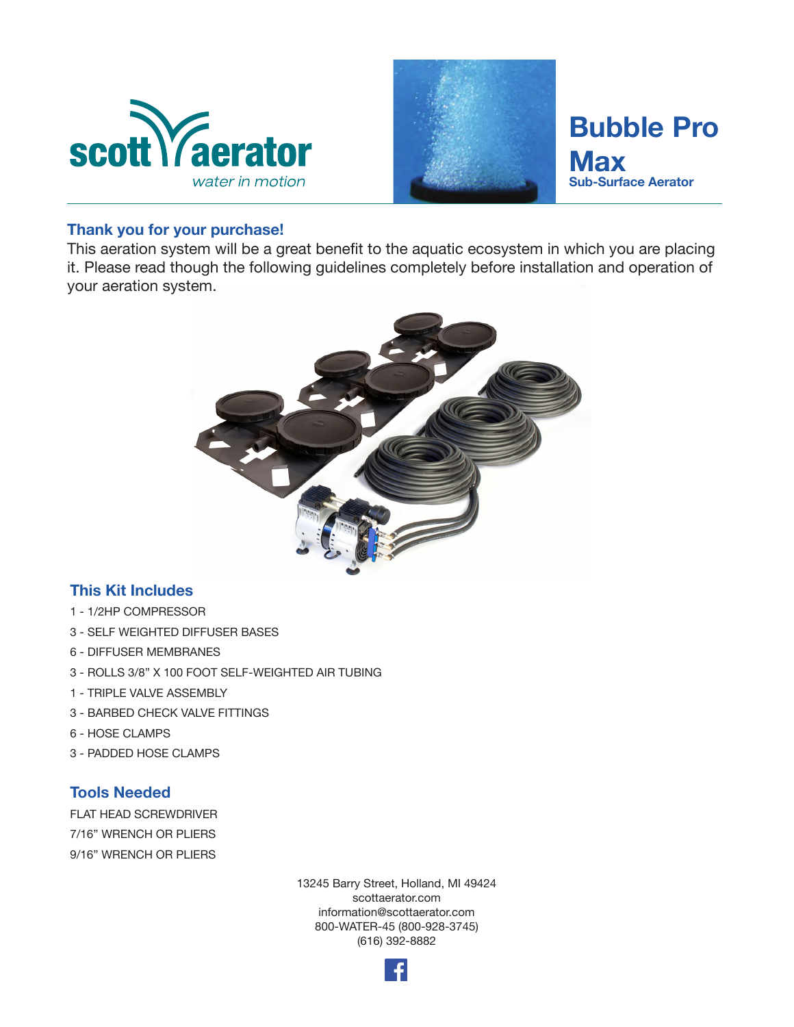



# **Bubble Pro Max Sub-Surface Aerator**

#### **Thank you for your purchase!**

This aeration system will be a great benefit to the aquatic ecosystem in which you are placing it. Please read though the following guidelines completely before installation and operation of your aeration system.



## **This Kit Includes**

- 1 1/2HP COMPRESSOR
- 3 SELF WEIGHTED DIFFUSER BASES
- 6 DIFFUSER MEMBRANES
- 3 ROLLS 3/8" X 100 FOOT SELF-WEIGHTED AIR TUBING
- 1 TRIPLE VALVE ASSEMBLY
- 3 BARBED CHECK VALVE FITTINGS
- 6 HOSE CLAMPS
- 3 PADDED HOSE CLAMPS

#### **Tools Needed**

FLAT HEAD SCREWDRIVER 7/16" WRENCH OR PLIERS 9/16" WRENCH OR PLIERS

> 13245 Barry Street, Holland, MI 49424 scottaerator.com information@scottaerator.com 800-WATER-45 (800-928-3745) (616) 392-8882

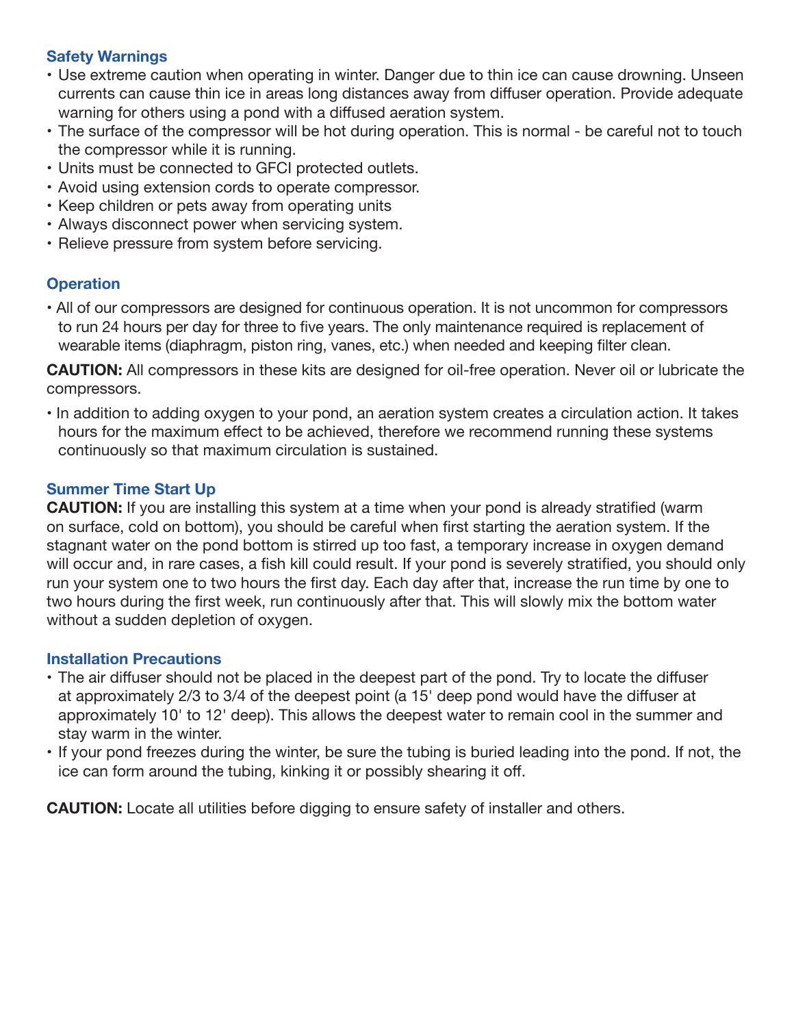## **Safety Warnings**

- Use extreme caution when operating in winter. Danger due to thin ice can cause drowning. Unseen currents can cause thin ice in areas long distances away from diffuser operation. Provide adequate warning for others using a pond with a diffused aeration system.
- The surface of the compressor will be hot during operation. This is normal be careful not to touch the compressor while it is running.
- Units must be connected to GFCI protected outlets.
- Avoid using extension cords to operate compressor.
- Keep children or pets away from operating units
- Always disconnect power when servicing system.
- Relieve pressure from system before servicing.

# **Operation**

• All of our compressors are designed for continuous operation. It is not uncommon for compressors to run 24 hours per day for three to five years. The only maintenance required is replacement of wearable items (diaphragm, piston ring, vanes, etc.) when needed and keeping filter clean.

**CAUTION:** All compressors in these kits are designed for oil-free operation. Never oil or lubricate the compressors.

• In addition to adding oxygen to your pond, an aeration system creates a circulation action. It takes hours for the maximum effect to be achieved, therefore we recommend running these systems continuously so that maximum circulation is sustained.

## **Summer Time Start Up**

**CAUTION:** If you are installing this system at a time when your pond is already stratified (warm on surface, cold on bottom), you should be careful when first starting the aeration system. If the stagnant water on the pond bottom is stirred up too fast, a temporary increase in oxygen demand will occur and, in rare cases, a fish kill could result. If your pond is severely stratified, you should only run your system one to two hours the first day. Each day after that, increase the run time by one to two hours during the first week, run continuously after that. This will slowly mix the bottom water without a sudden depletion of oxygen.

#### **Installation Precautions**

- The air diffuser should not be placed in the deepest part of the pond. Try to locate the diffuser at approximately 2/3 to 3/4 of the deepest point (a 15' deep pond would have the diffuser at approximately 10' to 12' deep). This allows the deepest water to remain cool in the summer and stay warm in the winter.
- If your pond freezes during the winter, be sure the tubing is buried leading into the pond. If not, the ice can form around the tubing, kinking it or possibly shearing it off.

**CAUTION:** Locate all utilities before digging to ensure safety of installer and others.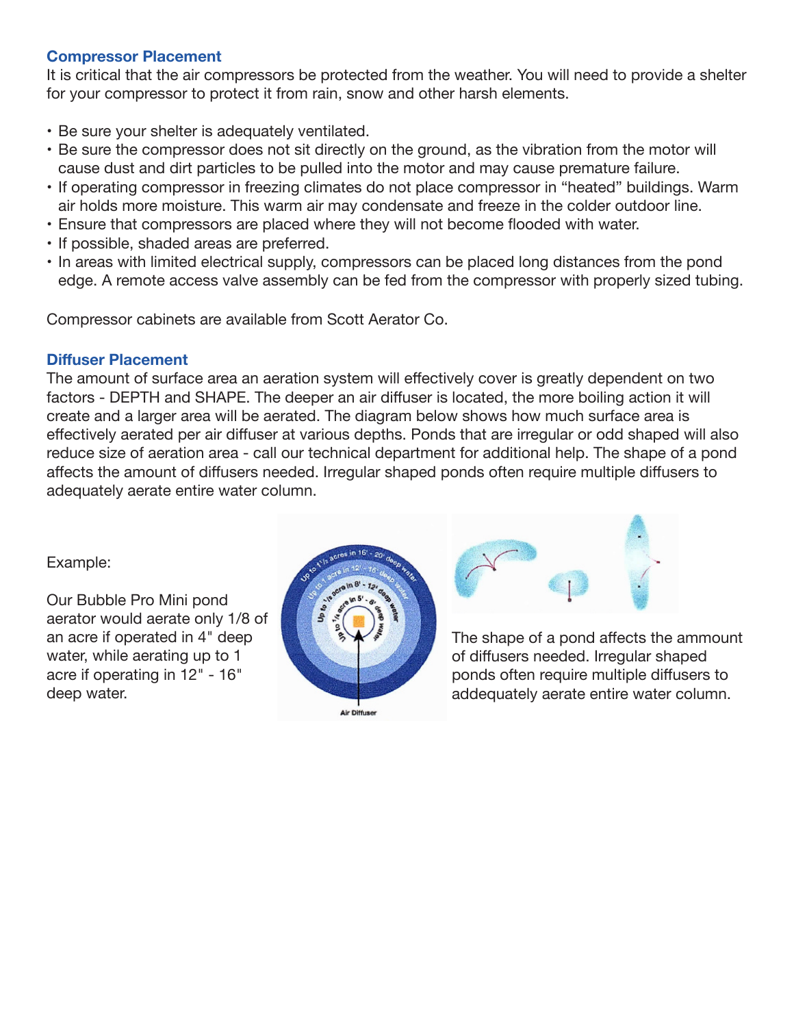## **Compressor Placement**

It is critical that the air compressors be protected from the weather. You will need to provide a shelter for your compressor to protect it from rain, snow and other harsh elements.

- Be sure your shelter is adequately ventilated.
- Be sure the compressor does not sit directly on the ground, as the vibration from the motor will cause dust and dirt particles to be pulled into the motor and may cause premature failure.
- If operating compressor in freezing climates do not place compressor in "heated" buildings. Warm air holds more moisture. This warm air may condensate and freeze in the colder outdoor line.
- Ensure that compressors are placed where they will not become flooded with water.
- If possible, shaded areas are preferred.
- In areas with limited electrical supply, compressors can be placed long distances from the pond edge. A remote access valve assembly can be fed from the compressor with properly sized tubing.

Compressor cabinets are available from Scott Aerator Co.

## **Diffuser Placement**

The amount of surface area an aeration system will effectively cover is greatly dependent on two factors - DEPTH and SHAPE. The deeper an air diffuser is located, the more boiling action it will create and a larger area will be aerated. The diagram below shows how much surface area is effectively aerated per air diffuser at various depths. Ponds that are irregular or odd shaped will also reduce size of aeration area - call our technical department for additional help. The shape of a pond affects the amount of diffusers needed. Irregular shaped ponds often require multiple diffusers to adequately aerate entire water column.

Example:

Our Bubble Pro Mini pond aerator would aerate only 1/8 of an acre if operated in 4" deep water, while aerating up to 1 acre if operating in 12" - 16" deep water.





The shape of a pond affects the ammount of diffusers needed. Irregular shaped ponds often require multiple diffusers to addequately aerate entire water column.